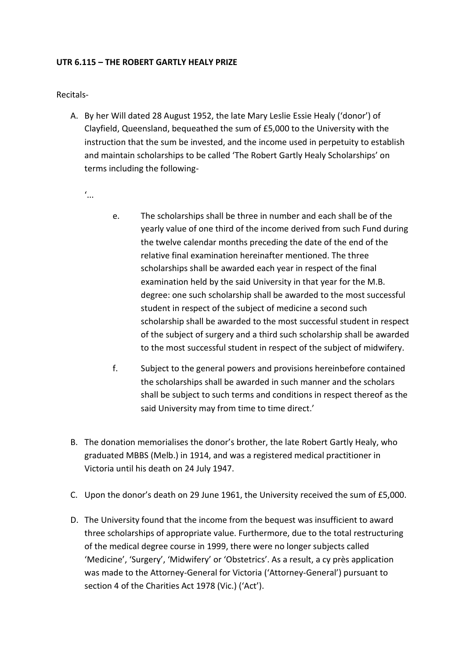## **UTR 6.115 – THE ROBERT GARTLY HEALY PRIZE**

Recitals-

- A. By her Will dated 28 August 1952, the late Mary Leslie Essie Healy ('donor') of Clayfield, Queensland, bequeathed the sum of £5,000 to the University with the instruction that the sum be invested, and the income used in perpetuity to establish and maintain scholarships to be called 'The Robert Gartly Healy Scholarships' on terms including the following-
	- '...
- e. The scholarships shall be three in number and each shall be of the yearly value of one third of the income derived from such Fund during the twelve calendar months preceding the date of the end of the relative final examination hereinafter mentioned. The three scholarships shall be awarded each year in respect of the final examination held by the said University in that year for the M.B. degree: one such scholarship shall be awarded to the most successful student in respect of the subject of medicine a second such scholarship shall be awarded to the most successful student in respect of the subject of surgery and a third such scholarship shall be awarded to the most successful student in respect of the subject of midwifery.
- f. Subject to the general powers and provisions hereinbefore contained the scholarships shall be awarded in such manner and the scholars shall be subject to such terms and conditions in respect thereof as the said University may from time to time direct.'
- B. The donation memorialises the donor's brother, the late Robert Gartly Healy, who graduated MBBS (Melb.) in 1914, and was a registered medical practitioner in Victoria until his death on 24 July 1947.
- C. Upon the donor's death on 29 June 1961, the University received the sum of £5,000.
- D. The University found that the income from the bequest was insufficient to award three scholarships of appropriate value. Furthermore, due to the total restructuring of the medical degree course in 1999, there were no longer subjects called 'Medicine', 'Surgery', 'Midwifery' or 'Obstetrics'. As a result, a cy près application was made to the Attorney-General for Victoria ('Attorney-General') pursuant to section 4 of the Charities Act 1978 (Vic.) ('Act').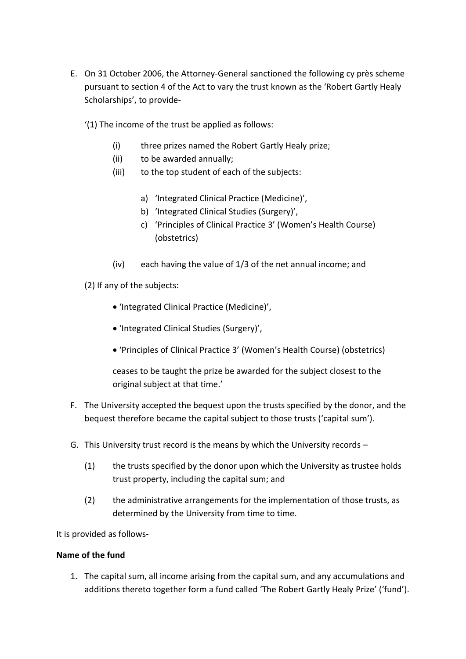- E. On 31 October 2006, the Attorney-General sanctioned the following cy près scheme pursuant to section 4 of the Act to vary the trust known as the 'Robert Gartly Healy Scholarships', to provide-
	- '(1) The income of the trust be applied as follows:
		- (i) three prizes named the Robert Gartly Healy prize;
		- (ii) to be awarded annually;
		- (iii) to the top student of each of the subjects:
			- a) 'Integrated Clinical Practice (Medicine)',
			- b) 'Integrated Clinical Studies (Surgery)',
			- c) 'Principles of Clinical Practice 3' (Women's Health Course) (obstetrics)
		- (iv) each having the value of 1/3 of the net annual income; and
	- (2) If any of the subjects:
		- 'Integrated Clinical Practice (Medicine)',
		- 'Integrated Clinical Studies (Surgery)',
		- 'Principles of Clinical Practice 3' (Women's Health Course) (obstetrics)

ceases to be taught the prize be awarded for the subject closest to the original subject at that time.'

- F. The University accepted the bequest upon the trusts specified by the donor, and the bequest therefore became the capital subject to those trusts ('capital sum').
- G. This University trust record is the means by which the University records
	- (1) the trusts specified by the donor upon which the University as trustee holds trust property, including the capital sum; and
	- (2) the administrative arrangements for the implementation of those trusts, as determined by the University from time to time.

It is provided as follows-

#### **Name of the fund**

1. The capital sum, all income arising from the capital sum, and any accumulations and additions thereto together form a fund called 'The Robert Gartly Healy Prize' ('fund').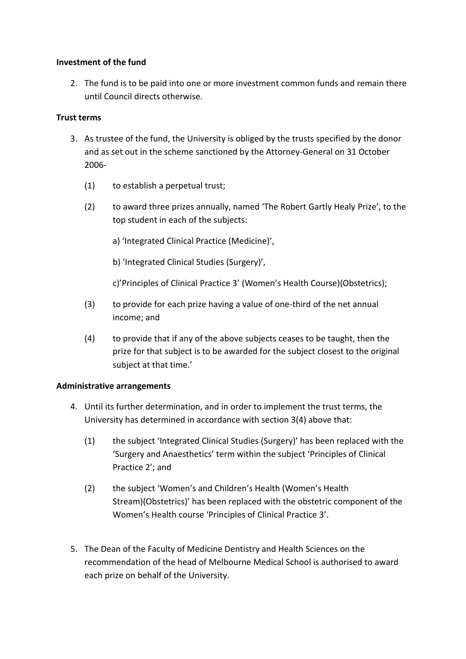### **Investment of the fund**

2. The fund is to be paid into one or more investment common funds and remain there until Council directs otherwise.

## **Trust terms**

- 3. As trustee of the fund, the University is obliged by the trusts specified by the donor and as set out in the scheme sanctioned by the Attorney-General on 31 October 2006-
	- (1) to establish a perpetual trust;
	- (2) to award three prizes annually, named 'The Robert Gartly Healy Prize', to the top student in each of the subjects:
		- a) 'Integrated Clinical Practice (Medicine)',
		- b) 'Integrated Clinical Studies (Surgery)',

c)'Principles of Clinical Practice 3' (Women's Health Course)(Obstetrics);

- (3) to provide for each prize having a value of one-third of the net annual income; and
- (4) to provide that if any of the above subjects ceases to be taught, then the prize for that subject is to be awarded for the subject closest to the original subject at that time.'

# **Administrative arrangements**

- 4. Until its further determination, and in order to implement the trust terms, the University has determined in accordance with section 3(4) above that:
	- (1) the subject 'Integrated Clinical Studies (Surgery)' has been replaced with the 'Surgery and Anaesthetics' term within the subject 'Principles of Clinical Practice 2'; and
	- (2) the subject 'Women's and Children's Health (Women's Health Stream)(Obstetrics)' has been replaced with the obstetric component of the Women's Health course 'Principles of Clinical Practice 3'.
- 5. The Dean of the Faculty of Medicine Dentistry and Health Sciences on the recommendation of the head of Melbourne Medical School is authorised to award each prize on behalf of the University.